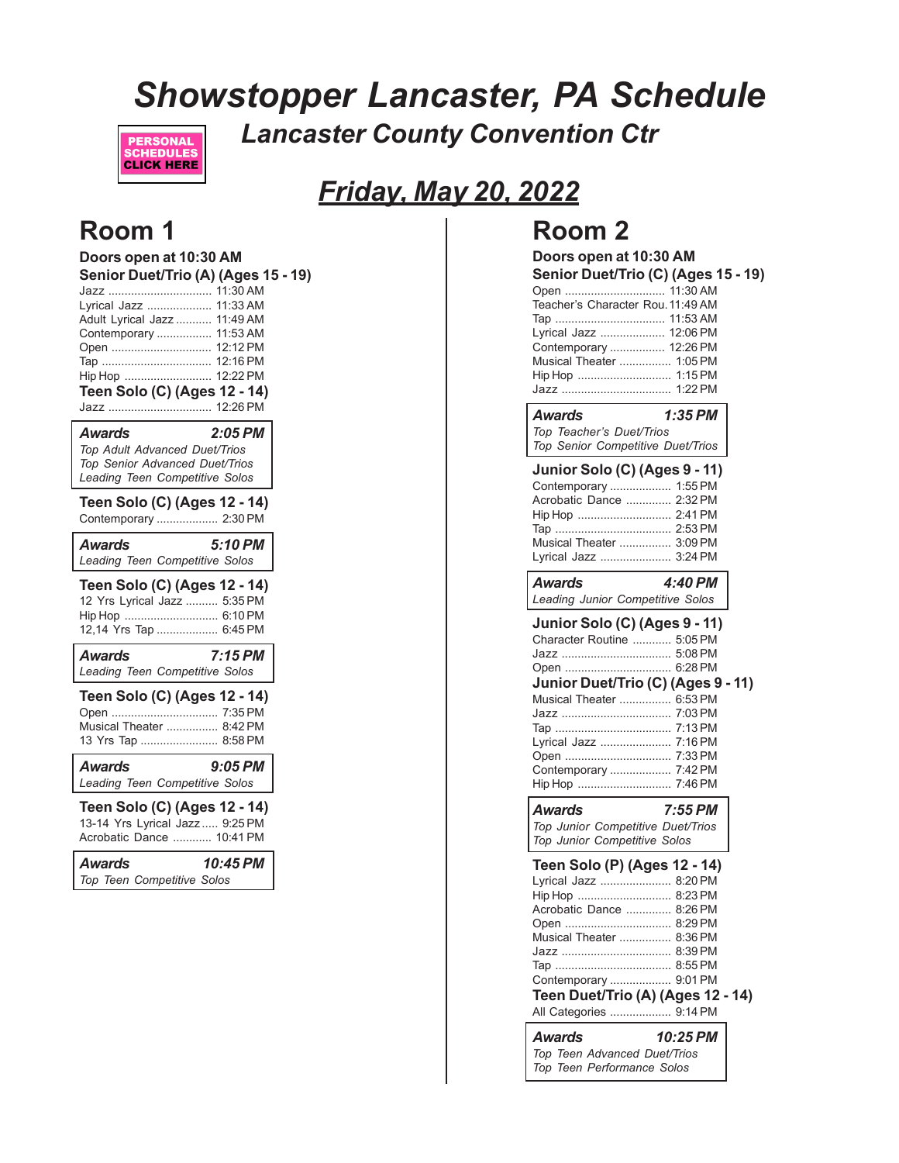# *Showstopper Lancaster, PA Schedule Lancaster County Convention Ctr*



# *Friday, May 20, 2022*

## **Room 1**

| Doors open at 10:30 AM<br>Senior Duet/Trio (A) (Ages 15 - 19)<br>Jazz  11:30 AM<br>Lyrical Jazz  11:33 AM<br>Adult Lyrical Jazz  11:49 AM<br>Contemporary  11:53 AM<br>Open  12:12 PM<br>Тар  12:16 РМ<br>Hip Hop  12:22 PM<br>Teen Solo (C) (Ages 12 - 14)<br>Jazz  12:26 PM |           |  |
|-------------------------------------------------------------------------------------------------------------------------------------------------------------------------------------------------------------------------------------------------------------------------------|-----------|--|
| Awards<br>Top Adult Advanced Duet/Trios<br>Top Senior Advanced Duet/Trios<br>Leading Teen Competitive Solos                                                                                                                                                                   | $2:05$ PM |  |
| Teen Solo (C) (Ages 12 - 14)<br>Contemporary  2:30 PM                                                                                                                                                                                                                         |           |  |
| <b>Awards</b><br>Leading Teen Competitive Solos                                                                                                                                                                                                                               | 5:10 PM   |  |
| Teen Solo (C) (Ages 12 - 14)<br>12 Yrs Lyrical Jazz  5:35 PM<br>Hip Hop  6:10 PM<br>12,14 Yrs Tap  6:45 PM                                                                                                                                                                    |           |  |
| <b>Awards</b><br>Leading Teen Competitive Solos                                                                                                                                                                                                                               | 7:15 PM   |  |
| Teen Solo (C) (Ages 12 - 14)<br>Open  7:35 PM<br>Musical Theater  8:42 PM<br>13 Yrs Tap  8:58 PM                                                                                                                                                                              |           |  |
| Awards<br>Leading Teen Competitive Solos                                                                                                                                                                                                                                      | $9:05$ PM |  |
| Teen Solo (C) (Ages 12 - 14)<br>13-14 Yrs Lyrical Jazz  9:25 PM<br>Acrobatic Dance  10:41 PM                                                                                                                                                                                  |           |  |
| Awards<br>Top Teen Competitive Solos                                                                                                                                                                                                                                          | 10:45 PM  |  |

## **Room 2**

#### **Doors open at 10:30 AM Senior Duet/Trio (C) (Ages 15 - 19)** Open ............................... 11:30 AM

| Teacher's Character Rou. 11:49 AM |
|-----------------------------------|
|                                   |
| Lyrical Jazz  12:06 PM            |
| Contemporary  12:26 PM            |
| Musical Theater  1:05 PM          |
| Hip Hop  1:15 PM                  |
|                                   |

#### *Awards 1:35 PM Top Teacher's Duet/Trios*

*Top Senior Competitive Duet/Trios*

| Junior Solo (C) (Ages 9 - 11) |                |
|-------------------------------|----------------|
| Contemporary  1:55 PM         |                |
| Acrobatic Dance  2:32 PM      |                |
| Hip Hop  2:41 PM              |                |
|                               |                |
| Musical Theater  3:09 PM      |                |
| Lyrical Jazz  3:24 PM         |                |
| $A - 1 - 1 - 1 - 1$           | $\sim$ 4.40 DM |

| Awards |                                  | 4:40 PM |  |
|--------|----------------------------------|---------|--|
|        | Leading Junior Competitive Solos |         |  |

| Junior Solo (C) (Ages 9 - 11) |  |
|-------------------------------|--|
| Character Routine  5:05 PM    |  |
|                               |  |
|                               |  |

| Junior Duet/Trio (C) (Ages 9 - 11) |  |
|------------------------------------|--|
| Musical Theater  6:53 PM           |  |
|                                    |  |
|                                    |  |
| Lyrical Jazz  7:16 PM              |  |
|                                    |  |
| Contemporary  7:42 PM              |  |

Hip Hop ............................. 7:46 PM *Awards 7:55 PM Top Junior Competitive Duet/Trios*

|  | Top Junior Competitive Solos   |  |
|--|--------------------------------|--|
|  | rop bannon componento Baco mor |  |

| Teen Solo (P) (Ages 12 - 14)      |  |
|-----------------------------------|--|
| Lyrical Jazz  8:20 PM             |  |
| Hip Hop  8:23 PM                  |  |
| Acrobatic Dance  8:26 PM          |  |
|                                   |  |
| Musical Theater  8:36 PM          |  |
|                                   |  |
|                                   |  |
| Contemporary  9:01 PM             |  |
| Teen Duet/Trio (A) (Ages 12 - 14) |  |
| All Categories  9:14 PM           |  |

| <b>Awards</b>                | 10:25 PM |
|------------------------------|----------|
| Top Teen Advanced Duet/Trios |          |
| Top Teen Performance Solos   |          |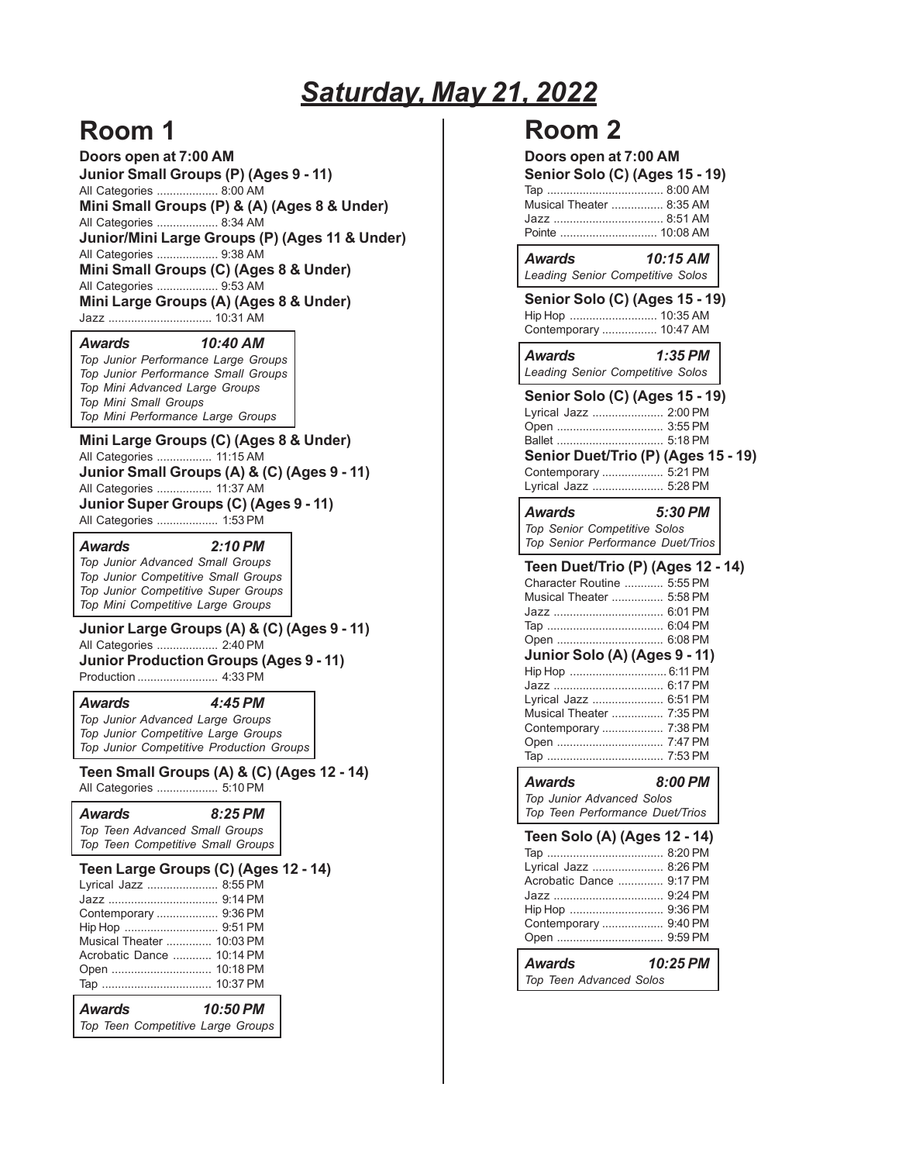# *Saturday, May 21, 2022*

# **Room 1**

**Doors open at 7:00 AM Junior Small Groups (P) (Ages 9 - 11)** All Categories ................... 8:00 AM **Mini Small Groups (P) & (A) (Ages 8 & Under)** All Categories ................... 8:34 AM **Junior/Mini Large Groups (P) (Ages 11 & Under)** All Categories ................... 9:38 AM **Mini Small Groups (C) (Ages 8 & Under)** All Categories ................... 9:53 AM **Mini Large Groups (A) (Ages 8 & Under)**

Jazz ................................ 10:31 AM

#### *Awards 10:40 AM*

*Top Junior Performance Large Groups Top Junior Performance Small Groups Top Mini Advanced Large Groups Top Mini Small Groups Top Mini Performance Large Groups*

**Mini Large Groups (C) (Ages 8 & Under)** All Categories ................. 11:15 AM **Junior Small Groups (A) & (C) (Ages 9 - 11)** All Categories ................. 11:37 AM **Junior Super Groups (C) (Ages 9 - 11)** All Categories ................... 1:53 PM

*Awards 2:10 PM*

*Top Junior Advanced Small Groups Top Junior Competitive Small Groups Top Junior Competitive Super Groups Top Mini Competitive Large Groups*

**Junior Large Groups (A) & (C) (Ages 9 - 11)**

All Categories ................... 2:40 PM **Junior Production Groups (Ages 9 - 11)**

Production ......................... 4:33 PM

*Awards 4:45 PM*

*Top Junior Advanced Large Groups Top Junior Competitive Large Groups Top Junior Competitive Production Groups*

**Teen Small Groups (A) & (C) (Ages 12 - 14)**

All Categories ................... 5:10 PM

*Awards 8:25 PM Top Teen Advanced Small Groups Top Teen Competitive Small Groups*

**Teen Large Groups (C) (Ages 12 - 14)**

| Top Teen Competitive Large Groups |
|-----------------------------------|
| 10:50 PM<br><b>Awards</b>         |
|                                   |
|                                   |
| Acrobatic Dance  10:14 PM         |
| Musical Theater  10:03 PM         |
| Hip Hop  9:51 PM                  |
| Contemporary  9:36 PM             |
|                                   |
| Lyrical Jazz  8:55 PM             |

### **Room 2**

| Doors open at 7:00 AM<br>Senior Solo (C) (Ages 15 - 19)<br>Musical Theater  8:35 AM<br>Jazz  8:51 AM<br>Pointe  10:08 AM                                                                                                                                                                           |  |
|----------------------------------------------------------------------------------------------------------------------------------------------------------------------------------------------------------------------------------------------------------------------------------------------------|--|
| Awards<br>10:15 AM<br>Leading Senior Competitive Solos                                                                                                                                                                                                                                             |  |
| <b>Senior Solo (C) (Ages 15 - 19)</b><br>Hip Hop  10:35 AM<br>Contemporary  10:47 AM                                                                                                                                                                                                               |  |
| $1:35$ PM<br>Awards<br>Leading Senior Competitive Solos                                                                                                                                                                                                                                            |  |
| Senior Solo (C) (Ages 15 - 19)<br>Lyrical Jazz  2:00 PM<br>Open  3:55 PM<br>Ballet  5:18 PM<br>Senior Duet/Trio (P) (Ages 15 - 19)<br>Contemporary  5:21 PM<br>Lyrical Jazz  5:28 PM<br><b>Awards</b><br>5:30 PM                                                                                   |  |
| Top Senior Competitive Solos<br>Top Senior Performance Duet/Trios                                                                                                                                                                                                                                  |  |
| Teen Duet/Trio (P) (Ages 12 - 14)<br>Character Routine  5:55 PM<br>Musical Theater  5:58 PM<br>Jazz  6:01 PM<br>Open  6:08 PM<br>Junior Solo (A) (Ages 9 - 11)<br>Hip Hop  6:11 PM<br>Jazz  6:17 PM<br>Lyrical Jazz  6:51 PM<br>Musical Theater  7:35 PM<br>Contemporary  7:38 PM<br>Open  7:47 PM |  |
| 8:00 PM<br><b>Awards</b><br>Top Junior Advanced Solos<br>Top Teen Performance Duet/Trios                                                                                                                                                                                                           |  |
| Teen Solo (A) (Ages 12 - 14)<br>Тар …………………………… 8:20 PM<br>Lyrical Jazz  8:26 PM<br>Acrobatic Dance  9:17 PM<br>Jazz  9:24 PM<br>Hip Hop  9:36 PM<br>Contemporary  9.40 PM<br>Open  9:59 PM                                                                                                        |  |
| <b>Awards</b><br>10:25 PM<br>Top Teen Advanced Solos                                                                                                                                                                                                                                               |  |